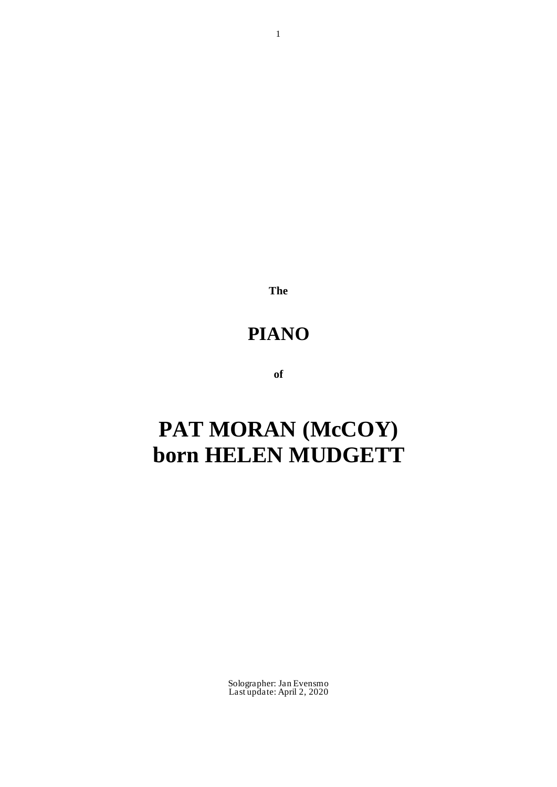**The**

## **PIANO**

**of**

# **PAT MORAN (McCOY) born HELEN MUDGETT**

Solographer: Jan Evensmo Last update: April 2, 2020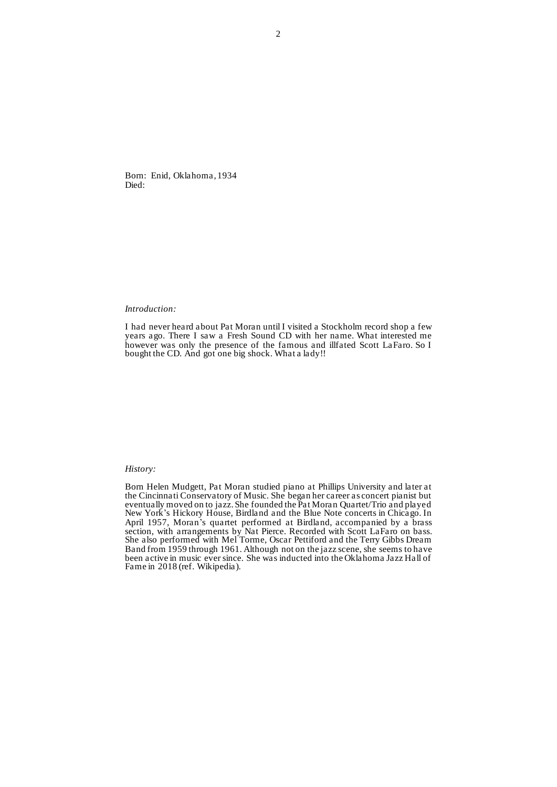Born: Enid, Oklahoma, 1934 Died:

### *Introduction:*

I had never heard about Pat Moran until I visited a Stockholm record shop a few years ago. There I saw a Fresh Sound CD with her name. What interested me however was only the presence of the famous and illfated Scott LaFaro. So I bought the CD. And got one big shock. What a lady!!

### *History:*

Born Helen Mudgett, Pat Moran studied piano at Phillips University and later at the Cincinnati Conservatory of Music. She began her career as concert pianist but eventually moved on to jazz. She founded the Pat Moran Quartet/Trio and played New York's Hickory House, Birdland and the Blue Note concerts in Chicago. In April 1957, Moran's quartet performed at Birdland, accompanied by a brass section, with arrangements by Nat Pierce. Recorded with Scott LaFaro on bass. She also performed with Mel Torme, Oscar Pettiford and the Terry Gibbs Dream Band from 1959 through 1961. Although not on the jazz scene, she seems to have been active in music ever since. She was inducted into the Oklahoma Jazz Hall of Fame in 2018 (ref. Wikipedia).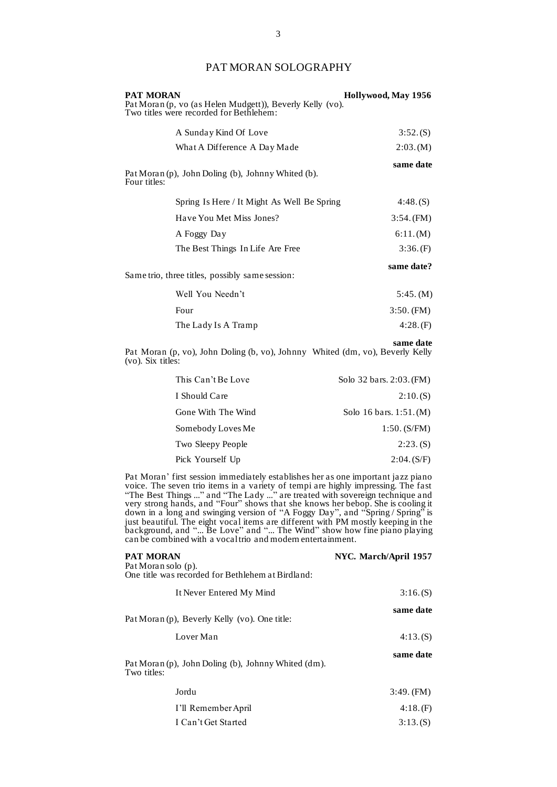## PAT MORAN SOLOGRAPHY

| <b>PAT MORAN</b>                                                                                     | Hollywood, May 1956 |
|------------------------------------------------------------------------------------------------------|---------------------|
| Pat Moran (p, vo (as Helen Mudgett)), Beverly Kelly (vo).<br>Two titles were recorded for Bethlehem: |                     |
| A Sunday Kind Of Love                                                                                | 3:52(S)             |
| What A Difference A Day Made                                                                         | 2:03.(M)            |
| Pat Moran (p), John Doling (b), Johnny Whited (b).<br>Four titles:                                   | same date           |
| Spring Is Here / It Might As Well Be Spring                                                          | 4:48(S)             |
| Have You Met Miss Jones?                                                                             | $3:54.$ (FM)        |
| A Foggy Day                                                                                          | 6:11.(M)            |
| The Best Things In Life Are Free                                                                     | 3:36(F)             |
| Same trio, three titles, possibly same session:                                                      | same date?          |
| Well You Needn't                                                                                     | 5:45. (M)           |
| Four                                                                                                 | $3:50.$ (FM)        |
| The Lady Is A Tramp                                                                                  | 4:28(F)             |
|                                                                                                      |                     |

**same date** Pat Moran (p, vo), John Doling (b, vo), Johnny Whited (dm, vo), Beverly Kelly (vo). Six titles:

| This Can't Be Love | Solo 32 bars. 2:03. (FM) |
|--------------------|--------------------------|
| I Should Care      | 2:10(S)                  |
| Gone With The Wind | Solo 16 bars. $1:51.(M)$ |
| Somebody Loves Me  | $1:50.$ (S/FM)           |
| Two Sleepy People  | $2:23.$ (S)              |
| Pick Yourself Up   | 2:04. (S/F)              |

Pat Moran' first session immediately establishes her as one important jazz piano voice. The seven trio items in a variety of tempi are highly impressing. The fast "The Best Things ..." and "The Lady ..." are treated with sovereign technique and very strong hands, and "Four" shows that she knows her bebop. She is cooling it down in a long and swinging version of "A Foggy Day", and "Spring / Spring" is just beautiful. The eight vocal items are different with PM mostly keeping in the background, and "... Be Love" and "... The Wind" show how fine piano playing can be combined with a vocal trio and modern entertainment.

| <b>PAT MORAN</b>                                                   | NYC. March/April 1957 |
|--------------------------------------------------------------------|-----------------------|
| Pat Moran solo (p).                                                |                       |
| One title was recorded for Bethlehem at Birdland:                  |                       |
| It Never Entered My Mind                                           | 3:16(S)               |
|                                                                    | same date             |
| Pat Moran (p), Beverly Kelly (vo). One title:                      |                       |
| Lover Man                                                          | 4:13(S)               |
| Pat Moran (p), John Doling (b), Johnny Whited (dm).<br>Two titles: | same date             |
| Jordu                                                              | $3:49.$ (FM)          |
| I'll Remember April                                                | 4:18(F)               |
| I Can't Get Started                                                | 3:13.(S)              |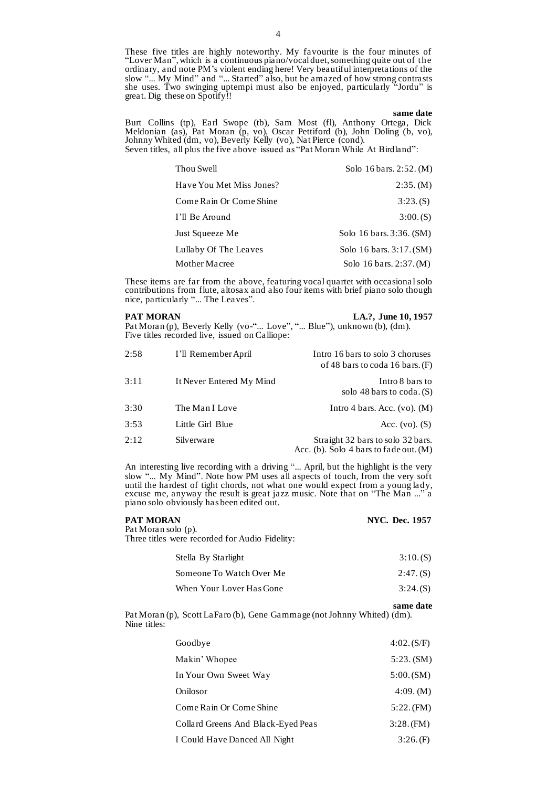These five titles are highly noteworthy. My favourite is the four minutes of "Lover Man", which is a continuous piano/vocal duet, something quite out of the ordinary, and note PM's violent ending here! Very beautiful interpretations of the slow "... My Mind" and "... Started" also, but be amazed of how strong contrasts she uses. Two swinging uptempi must also be enjoyed, particularly "Jordu" is great. Dig these on Spotify!!

### **same date**

Burt Collins (tp), Earl Swope (tb), Sam Most (fl), Anthony Ortega, Dick Meldonian (as), Pat Moran (p, vo), Oscar Pettiford (b), John Doling (b, vo), Johnny Whited (dm, vo), Beverly Kelly (vo), Nat Pierce (cond). Seven titles, all plus the five above issued as "Pat Moran While At Birdland":

| Thou Swell               | Solo 16 bars. 2:52. (M)  |
|--------------------------|--------------------------|
| Have You Met Miss Jones? | 2:35. (M)                |
| Come Rain Or Come Shine  | 3:23(S)                  |
| I'll Be Around           | 3:00(S)                  |
| Just Squeeze Me          | Solo 16 bars. 3:36. (SM) |
| Lullaby Of The Leaves    | Solo 16 bars. 3:17. (SM) |
| Mother Macree            | Solo 16 bars. 2:37. (M)  |

These items are far from the above, featuring vocal quartet with occasiona l solo contributions from flute, altosax and also four items with brief piano solo though nice, particularly "... The Leaves".

**PAT MORAN** LA.?, June 10, 1957

Pat Moran (p), Beverly Kelly (vo-"... Love", "... Blue"), unknown (b), (dm). Five titles recorded live, issued on Calliope:

| 2:58 | I'll Remember April      | Intro 16 bars to solo 3 choruses<br>of 48 bars to coda 16 bars. $(F)$         |
|------|--------------------------|-------------------------------------------------------------------------------|
| 3:11 | It Never Entered My Mind | Intro 8 bars to<br>solo 48 bars to coda. $(S)$                                |
| 3:30 | The Man I Love           | Intro 4 bars. Acc. (vo). $(M)$                                                |
| 3:53 | Little Girl Blue         | Acc. $(v_0)$ . $(S)$                                                          |
| 2:12 | Silverware               | Straight 32 bars to solo 32 bars.<br>Acc. (b). Solo $4$ bars to fade out. (M) |

An interesting live recording with a driving "... April, but the highlight is the very slow "... My Mind". Note how PM uses all aspects of touch, from the very soft until the hardest of tight chords, not what one would expect from a young lady, excuse me, anyway the result is great jazz music. Note that on "The Man ..." a piano solo obviously has been edited out.

| <b>PAT MORAN</b>                               | <b>NYC.</b> Dec. 1957 |
|------------------------------------------------|-----------------------|
| Pat Moran solo (p).                            |                       |
| Three titles were recorded for Audio Fidelity: |                       |
| Stella By Starlight                            | 3:10(S)               |
| Someone To Watch Over Me                       | $2:47.$ (S)           |
| When Your Lover Has Gone                       | 3:24(S)               |

**same date** Pat Moran (p), Scott LaFaro (b), Gene Gammage (not Johnny Whited) (dm). Nine titles:

| Goodbye                            | 4:02.(S/F)   |
|------------------------------------|--------------|
| Makin' Whopee                      | $5:23.$ (SM) |
| In Your Own Sweet Way              | 5:00.(SM)    |
| Onilosor                           | 4:09. (M)    |
| Come Rain Or Come Shine            | 5:22(FM)     |
| Collard Greens And Black-Eyed Peas | 3:28(FM)     |
| I Could Have Danced All Night      | 3:26(F)      |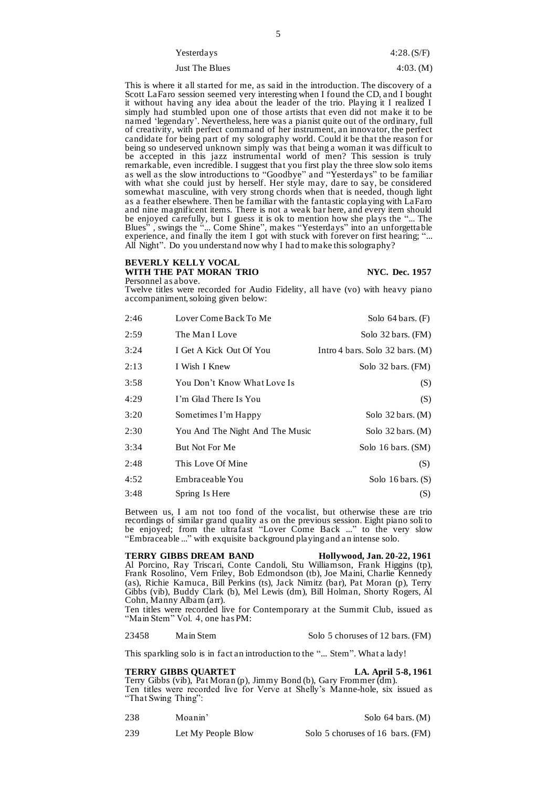| Yesterdays     | 4:28(S/F) |
|----------------|-----------|
| Just The Blues | 4:03. (M) |

This is where it all started for me, as said in the introduction. The discovery of a Scott LaFaro session seemed very interesting when I found the CD, and I bought it without having any idea about the leader of the trio. Playing it I realized I simply had stumbled upon one of those artists that even did not make it to be named 'legendary'. Nevertheless, here was a pianist quite out of the ordinary, full of creativity, with perfect command of her instrument, an innovator, the perfect candidate for being part of my solography world. Could it be that the reason for being so undeserved unknown simply was that being a woman it was difficult to be accepted in this jazz instrumental world of men? This session is truly remarkable, even incredible. I suggest that you first play the three slow solo items as well as the slow introductions to "Goodbye" and "Yesterdays" to be familiar with what she could just by herself. Her style may, dare to say, be considered somewhat masculine, with very strong chords when that is needed, though light as a feather elsewhere. Then be familiar with the fantastic coplaying with LaFaro and nine magnificent items. There is not a weak bar here, and every item should be enjoyed carefully, but I guess it is ok to mention how she plays the "... The Blues" , swings the "... Come Shine", makes "Yesterdays" into an unforgettable experience, and finally the item I got with stuck with forever on first hearing; "... All Night". Do you understand now why I had to make this solography?

### **BEVERLY KELLY VOCAL** WITH THE PAT MORAN TRIO NYC. Dec. 1957 Personnel as above.

Twelve titles were recorded for Audio Fidelity, all have (vo) with heavy piano accompaniment, soloing given below:

| 2:46 | Lover Come Back To Me           | Solo $64 \text{ bars.}$ (F)       |
|------|---------------------------------|-----------------------------------|
| 2:59 | The Man I Love                  | Solo $32 \text{ bars.}$ (FM)      |
| 3:24 | I Get A Kick Out Of You         | Intro 4 bars. Solo $32$ bars. (M) |
| 2:13 | I Wish I Knew                   | Solo $32 \text{ bars.}$ (FM)      |
| 3:58 | You Don't Know What Love Is     | (S)                               |
| 4:29 | I'm Glad There Is You           | (S)                               |
| 3:20 | Sometimes I'm Happy             | Solo $32 \text{ bars.}$ (M)       |
| 2:30 | You And The Night And The Music | Solo $32 \text{ bars.}$ (M)       |
| 3:34 | <b>But Not For Me</b>           | Solo 16 bars. (SM)                |
| 2:48 | This Love Of Mine               | (S)                               |
| 4:52 | Embraceable You                 | Solo $16 \text{ bars.}$ (S)       |
| 3:48 | Spring Is Here                  | (S)                               |

Between us, I am not too fond of the vocalist, but otherwise these are trio recordings of similar grand quality as on the previous session. Eight piano soli to be enjoyed; from the ultrafast "Lover Come Back ..." to the very slow "Embraceable ..." with exquisite background playing and an intense solo.

**TERRY GIBBS DREAM BAND Hollywood, Jan. 20-22, 1961** Al Porcino, Ray Triscari, Conte Candoli, Stu Williamson, Frank Higgins (tp), Frank Rosolino, Vern Friley, Bob Edmondson (tb), Joe Maini, Charlie Kennedy (as), Richie Kamuca, Bill Perkins (ts), Jack Nimitz (bar), Pat Moran (p), Terry Gibbs (vib), Buddy Clark (b), Mel Lewis (dm), Bill Holman, Shorty Rogers, Al Cohn, Manny Albam (arr).

Ten titles were recorded live for Contemporary at the Summit Club, issued as "Main Stem" Vol. 4, one has PM:

23458 Main Stem Solo 5 choruses of 12 bars. (FM)

This sparkling solo is in fact an introduction to the "... Stem". What a lady!

### **TERRY GIBBS QUARTET LA. April 5-8, 1961**

Terry Gibbs (vib), Pat Moran (p), Jimmy Bond (b), Gary Frommer (dm). Ten titles were recorded live for Verve at Shelly's Manne-hole, six issued as "That Swing Thing":

238 Moanin' Solo 64 bars. (M)

239 Let My People Blow Solo 5 choruses of 16 bars. (FM)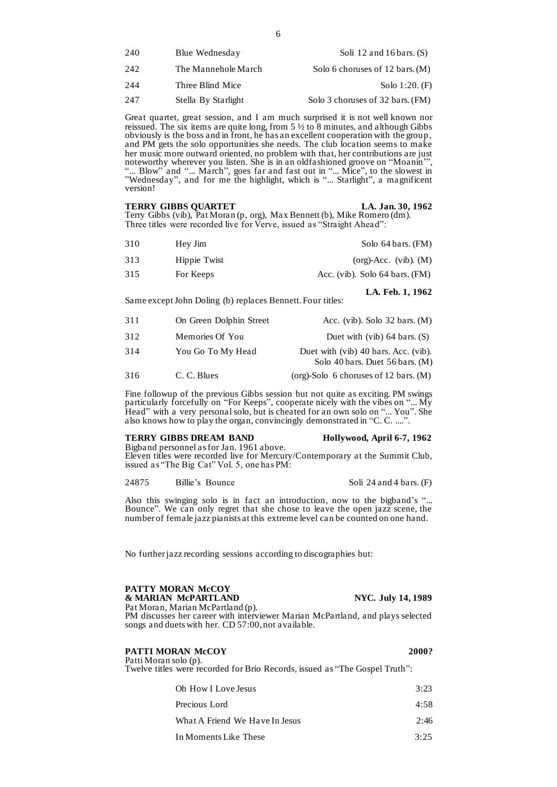| 240 | Blue Wednesday      | Soli 12 and 16 bars. $(S)$        |
|-----|---------------------|-----------------------------------|
| 242 | The Mannehole March | Solo 6 choruses of 12 bars. $(M)$ |
| 244 | Three Blind Mice    | Solo $1:20.$ (F)                  |
| 247 | Stella By Starlight | Solo 3 choruses of 32 bars. (FM)  |

Great quartet, great session, and I am much surprised it is not well known nor reissued. The six items are quite long, from  $5\frac{1}{2}$  to  $8$  minutes, and although Gibbs obviously is the boss and in front, he has an excellent cooperation with the group, and PM gets the solo opportunities she needs. The club location seems to make her music more outward oriented, no problem with that, her contributions are just noteworthy wherever you listen. She is in an oldfashioned groove on "Moanin'", "... Blow" and "... March", goes far and fast out in "... Mice", to the slowest in "Wednesday", and for me the highlight, which is "... Starlight", a magnificent version!

| <b>TERRY GIBBS QUARTET</b> | LA. Jan. 30, 1962 |
|----------------------------|-------------------|
|                            |                   |

Terry Gibbs (vib), Pat Moran (p, org), Max Bennett (b), Mike Romero (dm). Three titles were recorded live for Verve, issued as "Straight Ahead":

| 310<br>Hey Jim   |                                           | Solo 64 bars. (FM) |
|------------------|-------------------------------------------|--------------------|
| 313              | $(org)-Acc.$ (vib). $(M)$<br>Hippie Twist |                    |
| 315<br>For Keeps | Acc. (vib). Solo $64$ bars. (FM)          |                    |

Same except John Doling (b) replaces Bennett. Four titles:

| 311 | On Green Dolphin Street | Acc. (vib). Solo $32 \text{ bars.}$ (M)                                 |
|-----|-------------------------|-------------------------------------------------------------------------|
| 312 | Memories Of You         | Duet with (vib) $64$ bars. (S)                                          |
| 314 | You Go To My Head       | Duet with (vib) 40 bars. Acc. (vib).<br>Solo 40 bars. Duet 56 bars. (M) |
| 316 | C. C. Blues             | (org)-Solo 6 choruses of 12 bars. $(M)$                                 |

Fine followup of the previous Gibbs session but not quite as exciting. PM swings particularly forcefully on "For Keeps", cooperate nicely with the vibes on "... My Head" with a very personal solo, but is cheated for an own solo on "... You". She also knows how to play the organ, convincingly demonstrated in "C. C. ....".

### **TERRY GIBBS DREAM BAND Hollywood, April 6-7, 1962**

Bigband personnel as for Jan. 1961 above. Eleven titles were recorded live for Mercury/Contemporary at the Summit Club, issued as "The Big Cat" Vol. 5, one has PM:

24875 Billie's Bounce Soli 24 and 4 bars. (F)

**LA. Feb. 1, 1962**

Also this swinging solo is in fact an introduction, now to the bigband's "... Bounce". We can only regret that she chose to leave the open jazz scene, the number of female jazz pianists at this extreme level can be counted on one hand.

No further jazz recording sessions according to discographies but:

### **PATTY MORAN McCOY & MARIAN McPARTLAND NYC. July 14, 1989**

Pat Moran, Marian McPartland (p). PM discusses her career with interviewer Marian McPartland, and plays selected songs and duets with her. CD 57:00, not available.

| <b>PATTI MORAN McCOY</b> | 2000? |
|--------------------------|-------|
| Patti Moran solo (p).    |       |

Twelve titles were recorded for Brio Records, issued as "The Gospel Truth":

| Oh How I Love Jesus            | 3:23 |
|--------------------------------|------|
| Precious Lord                  | 4:58 |
| What A Friend We Have In Jesus | 2:46 |
| In Moments Like These          | 3:25 |